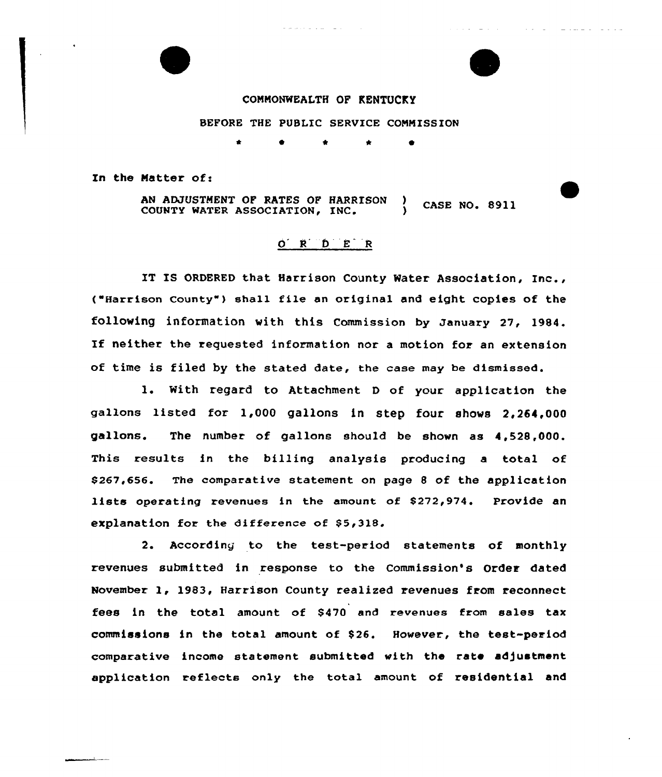## CONNONWEALTH OF KENTUCKY

BEFORE THE PUBLIC SERVICE CONMISSION

In the Matter of:

AN ADJUSTMENT OF RATES OF HARRISON ) CASE NO. 8911<br>COUNTY WATER ASSOCIATION, INC. ) CASE NO. 8911

## O R D E R

IT IS ORDERED that Harrison County Water Association, Inc., ("Harrison County" ) shall file an original and eight copies of the following information with this Commission by January 27< 1984. If neither the requested information nor <sup>a</sup> motion for an extension of time is filed by the stated date, the case may be dismissed.

1. With regard to Attachment <sup>D</sup> of your application the gallons listed for 1,000 gallons in step four shows 2,264,000 gallons. The number of gallons should be shown as 4,528,000. This results in the billing analysis producing a total of \$ 267,656. The comparative statement on page <sup>8</sup> of the application lists operating revenues in the amount of \$272,974. Provide an explanation for the difference of \$5,318.

2. According to the test-period statements of monthly revenues submitted in response to the Commission's Order dated November 1, 1983, Harrison County realized revenues from reconnect fees in the total amount of \$470 and revenues from sales tax commissions in the total amount of \$ 26. However, the test-period comparative income statement submitted with the rate adjustment application reflects only the total amount of residential and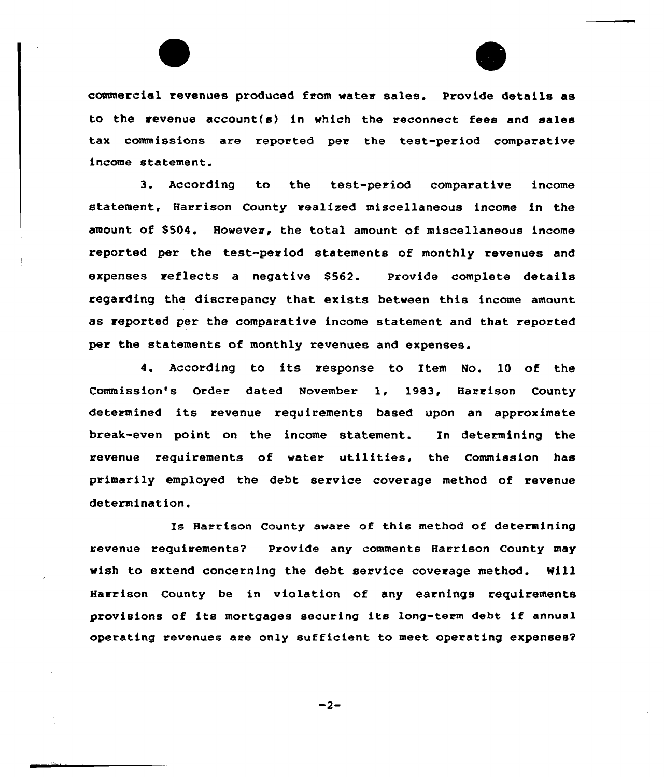

commercial revenues produced from water sales. Provide details as to the revenue account(s) in which the reconnect fees and sales tax commissions are reported per the test-period comparative income statement.

3. According to the test-period comparative income statement, Harrison County realized miscellaneous income in the amount of \$504. However, the total amount of miscellaneous income reported per the test-period statements of monthly revenues and expenses reflects a negative \$562. Provide complete details regarding the discrepancy that exists between this income amount as reported per the comparative income statement and that reported per the statements of monthly revenues and expenses.

4. According to its response to Item No. 10 of the Commission's Order dated November 1, 1983, Harrison County determined its revenue requirements based upon an approximate break-even point on the income statement. In determining the revenue requirements of water utilities, the Commission has primarily employed the debt service coverage method of revenue determination.

Is Harrison County aware of this method of determining revenue requirements? Provide any comments Harrison County may wish to extend concerning the debt service coverage method. Will Harrison County be in violation of any earnings requirements provisions of its mortgages securing its long-teem debt if annua1 operating revenues are only sufficient to meet operating expenses?

 $-2-$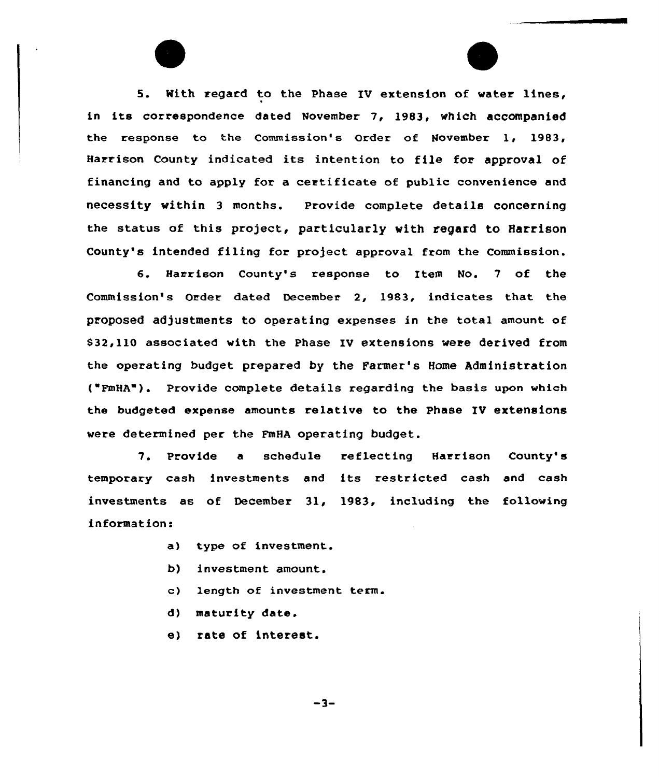5. With regard to the Phase IV extension of water lines, in its correspondence dated November 7, 1983, which accompanied the response to the Commission's Order of November 1, 1983, Harrison County indicated its intent:ion to file for approval of financing and to apply for a certificate of public convenience and necessity within 3 months. Provide complete details concerning the status of this project, particularly with regard to Harrison County's intended filing for project approval from the Commission.

6. Harrison County's response to Item No. <sup>7</sup> of the Commission's Order dated December 2, 1983, indicates that the proposed adjustments to operating expenses in the total amount of S32,110 associated with the Phase IV extensions were derived from the operating budget prepared by the Farmer's Home Administration ( FmHA"). Provide complete details regarding the basis upon which the budgeted expense amounts relative to the Phase IV extensions were determined per the FmHA operating budget.

7. Provide <sup>a</sup> schedule reflecting Harrison County's temporary cash investments and its restricted cash and cash investments as of December 3l, 1983, including the following information:

- a) type of investment.
- b) investment amount.
- c) length of investment term.
- d) maturity date.
- e) rate of interest.

 $-3-$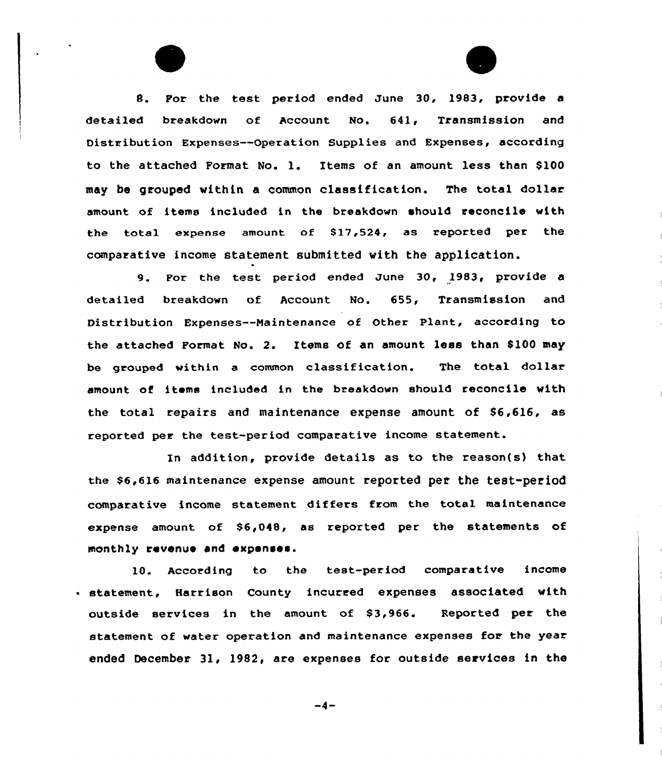8. For the test period ended June 30, 1983, provide a detailed breakdown of Account No. 641, Transmission and Distribution Expenses —Operation Supplies and Expenses, according to the attached Format No. 1. Items of an amount 1ess than S100 may be grouped vithin a common classification. The total dollar amount of items included in the breakdown should reconcile with the total expense amount of \$17,524, as reported per the comparative income statement submitted vith the application.

9. For the test period ended June 30, 1983, provide <sup>a</sup> detailed breakdown of Account No. 655, Transmission and Distribution Expenses--Naintenance of Other Plant, according to the attached Format No. 2. Items of an amount less than S100 may be grouped within a common classification. The total dollar amount of items included in the breakdown should reconcile with the total repairs and maintenance expense amount of \$6,616, as reported per the test-period comparative income statement.

In addition, provide details as to the reason(s) that the \$6,616 maintenance expense amount reported per the test-period comparative income statement. differs from the total maintenance expense amount of \$6,048, as reported per the statements of monthly revenue and expenses.

10. According to the test-period comparative income <sup>~</sup> statement, Harrison County incurred expenses associated with outside services in the amount of S3 966. Reported per the statement of water operation and maintenance expenses for the year ended December 31, 1982, are expenses for outside services in the

 $-4-$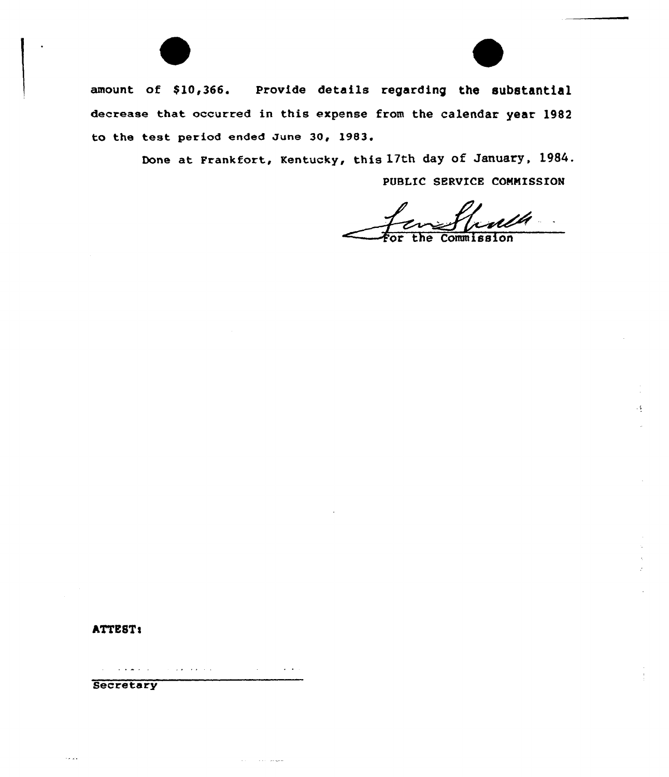

 $\mathcal{A}_{\mathcal{A}}$ 

amount of \$10,366. Provide details regarding the substantial decrease that occurred in this expense from the calendar year 1982 to the test period ended June 30, 1983.

> Done at Frankfort, Kentucky, this 17th day of January, 1984. PUBLIC SERVICE CONNISSION

hTTE8Ts

 $\mathcal{L}^{\mathcal{L}}(\mathcal{L}^{\mathcal{L}})$  and  $\mathcal{L}^{\mathcal{L}}(\mathcal{L}^{\mathcal{L}})$  and  $\mathcal{L}^{\mathcal{L}}(\mathcal{L}^{\mathcal{L}})$  $\mathcal{A}=\mathcal{A}$  , and  $\mathcal{A}=\mathcal{A}$  , and  $\mathcal{A}=\mathcal{A}$  $\mathbf{u}$  , and  $\mathbf{u}$  , and  $\mathbf{u}$ 

ستهاد المداري المحارب

**Secretary**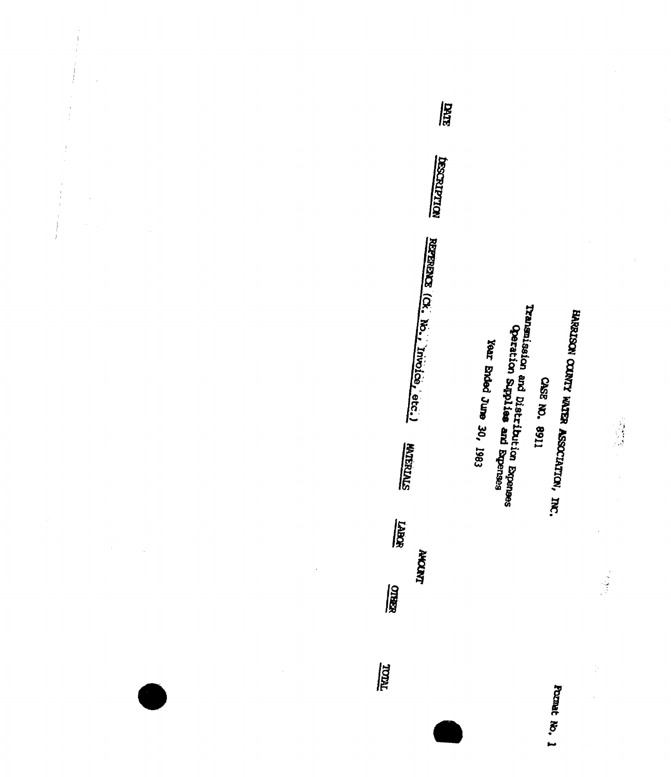